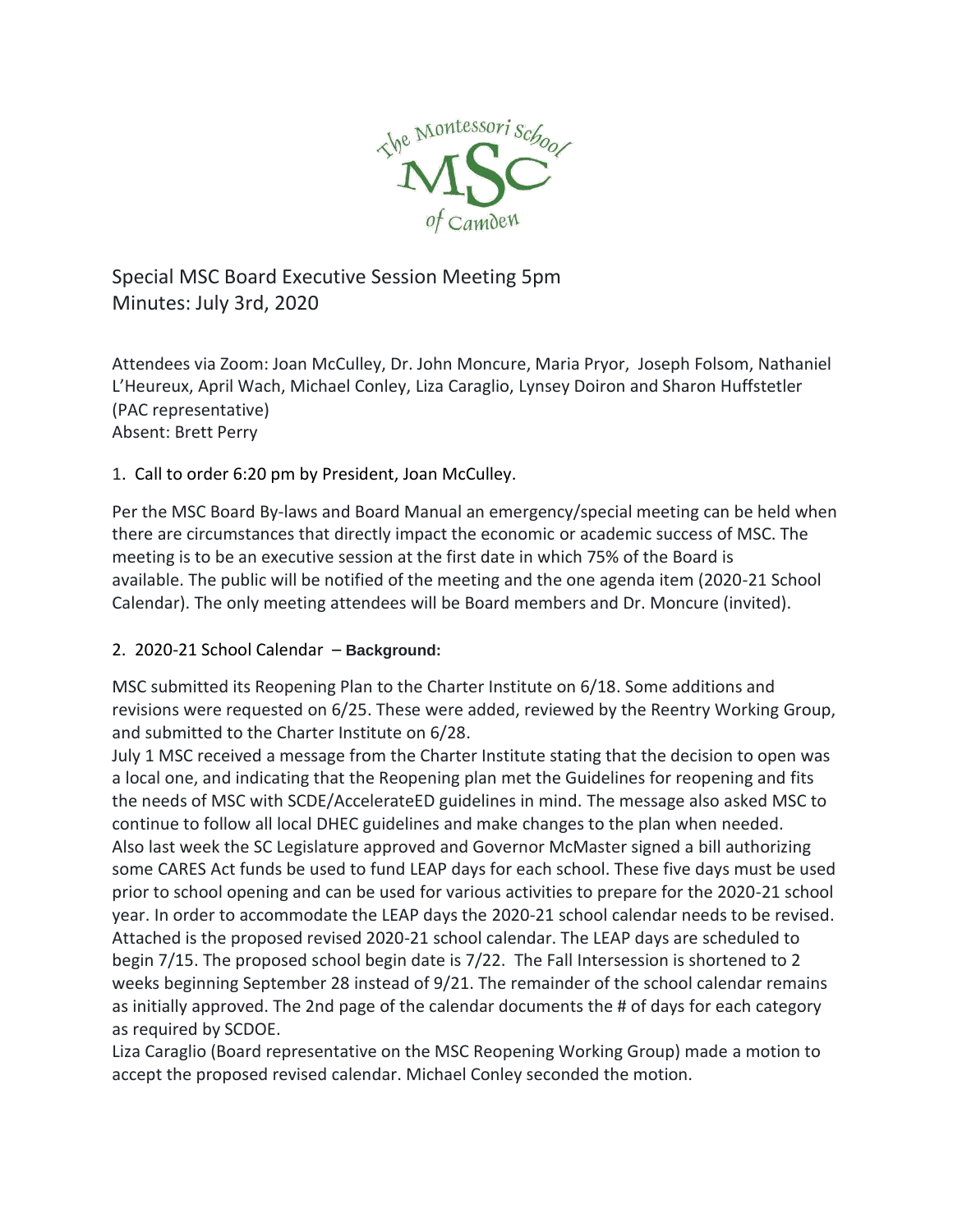

## Special MSC Board Executive Session Meeting 5pm Minutes: July 3rd, 2020

Attendees via Zoom: Joan McCulley, Dr. John Moncure, Maria Pryor, Joseph Folsom, Nathaniel L'Heureux, April Wach, Michael Conley, Liza Caraglio, Lynsey Doiron and Sharon Huffstetler (PAC representative) Absent: Brett Perry

1. Call to order 6:20 pm by President, Joan McCulley.

Per the MSC Board By-laws and Board Manual an emergency/special meeting can be held when there are circumstances that directly impact the economic or academic success of MSC. The meeting is to be an executive session at the first date in which 75% of the Board is available. The public will be notified of the meeting and the one agenda item (2020-21 School Calendar). The only meeting attendees will be Board members and Dr. Moncure (invited).

## 2. 2020-21 School Calendar – **Background:**

MSC submitted its Reopening Plan to the Charter Institute on 6/18. Some additions and revisions were requested on 6/25. These were added, reviewed by the Reentry Working Group, and submitted to the Charter Institute on 6/28.

July 1 MSC received a message from the Charter Institute stating that the decision to open was a local one, and indicating that the Reopening plan met the Guidelines for reopening and fits the needs of MSC with SCDE/AccelerateED guidelines in mind. The message also asked MSC to continue to follow all local DHEC guidelines and make changes to the plan when needed. Also last week the SC Legislature approved and Governor McMaster signed a bill authorizing some CARES Act funds be used to fund LEAP days for each school. These five days must be used prior to school opening and can be used for various activities to prepare for the 2020-21 school year. In order to accommodate the LEAP days the 2020-21 school calendar needs to be revised. Attached is the proposed revised 2020-21 school calendar. The LEAP days are scheduled to begin 7/15. The proposed school begin date is 7/22. The Fall Intersession is shortened to 2 weeks beginning September 28 instead of 9/21. The remainder of the school calendar remains as initially approved. The 2nd page of the calendar documents the # of days for each category as required by SCDOE.

Liza Caraglio (Board representative on the MSC Reopening Working Group) made a motion to accept the proposed revised calendar. Michael Conley seconded the motion.